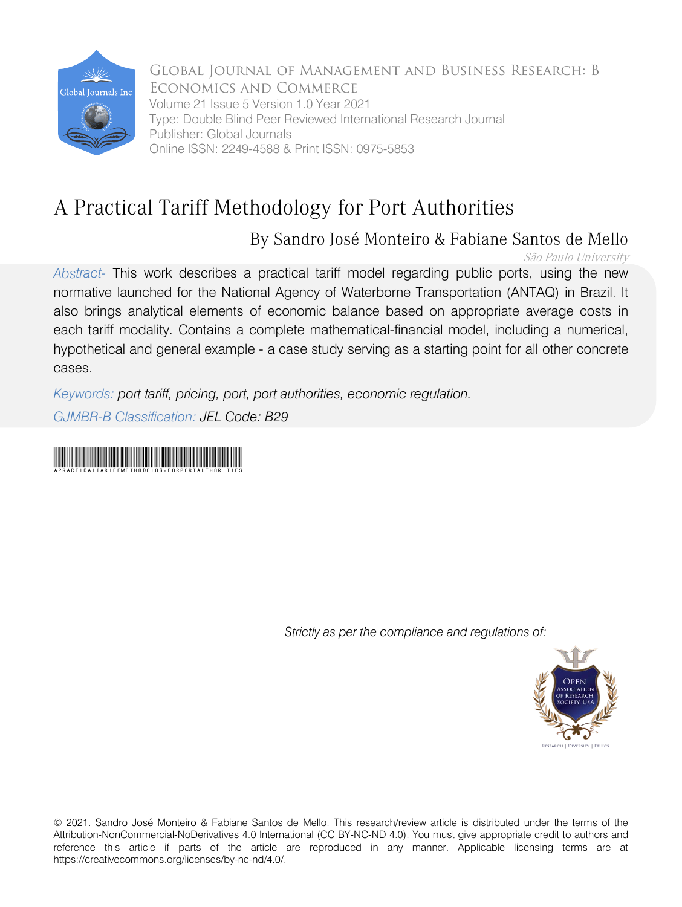

Global Journal of Management and Business Research: B Economics and Commerce Volume 21 Issue 5 Version 1.0 Year 2021 Type: Double Blind Peer Reviewed International Research Journal Publisher: Global Journals Online ISSN: 2249-4588 & Print ISSN: 0975-5853

# A Practical Tariff Methodology for Port Authorities

# By Sandro José Monteiro & Fabiane Santos de Mello

São Paulo University

*Abstract-* This work describes a practical tariff model regarding public ports, using the new normative launched for the National Agency of Waterborne Transportation (ANTAQ) in Brazil. It also brings analytical elements of economic balance based on appropriate average costs in each tariff modality. Contains a complete mathematical-financial model, including a numerical, hypothetical and general example - a case study serving as a starting point for all other concrete cases.

*Keywords: port tariff, pricing, port, port authorities, economic regulation. GJMBR-B Classification: JEL Code: B29*

# APracticalTariffMethodologyforPortAuthorities

 *Strictly as per the compliance and regulations of:*



© 2021. Sandro José Monteiro & Fabiane Santos de Mello. This research/review article is distributed under the terms of the Attribution-NonCommercial-NoDerivatives 4.0 International (CC BY-NC-ND 4.0). You must give appropriate credit to authors and reference this article if parts of the article are reproduced in any manner. Applicable licensing terms are at https://creativecommons.org/licenses/by-nc-nd/4.0/.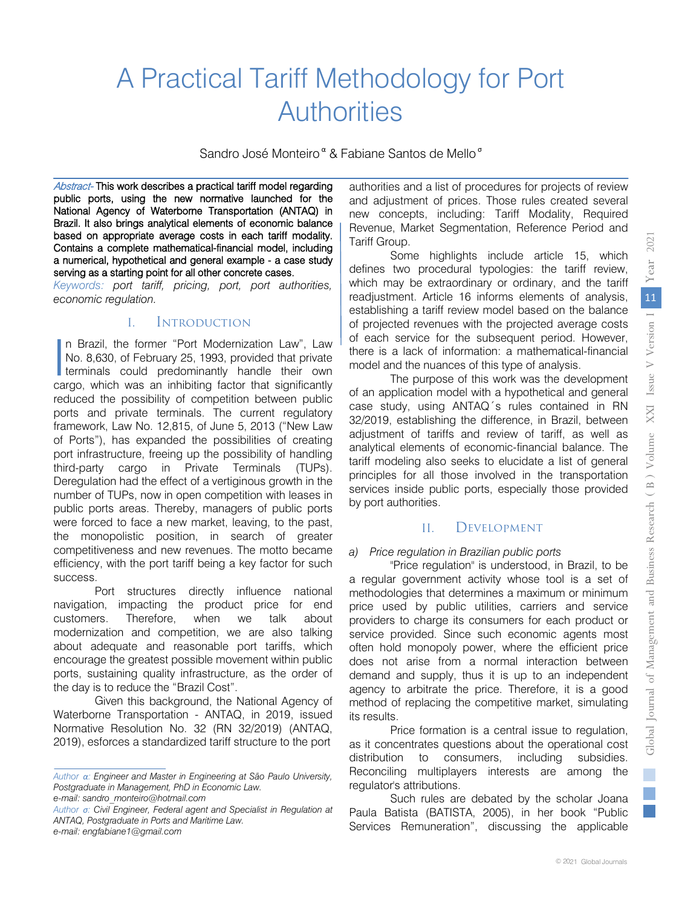# A Practical Tariff Methodology for Port **Authorities**

Sandro José Monteiro<sup>«</sup> & Fabiane Santos de Mello<sup>®</sup>

Abstract- This work describes a practical tariff model regarding public ports, using the new normative launched for the National Agency of Waterborne Transportation (ANTAQ) in Brazil. It also brings analytical elements of economic balance based on appropriate average costs in each tariff modality. Contains a complete mathematical-financial model, including a numerical, hypothetical and general example - a case study serving as a starting point for all other concrete cases.

*Keywords: port tariff, pricing, port, port authorities, economic regulation.*

### I. Introduction

n Brazil, the former "Port Modernization Law", Law No. 8,630, of February 25, 1993, provided that private In Brazil, the former "Port Modernization Law", Law<br>No. 8,630, of February 25, 1993, provided that private<br>terminals could predominantly handle their own<br>parco, which was an inhibiting factor that eignificantly cargo, which was an inhibiting factor that significantly reduced the possibility of competition between public ports and private terminals. The current regulatory framework, Law No. 12,815, of June 5, 2013 ("New Law of Ports"), has expanded the possibilities of creating port infrastructure, freeing up the possibility of handling third-party cargo in Private Terminals (TUPs). Deregulation had the effect of a vertiginous growth in the number of TUPs, now in open competition with leases in public ports areas. Thereby, managers of public ports were forced to face a new market, leaving, to the past, the monopolistic position, in search of greater competitiveness and new revenues. The motto became efficiency, with the port tariff being a key factor for such success.

Port structures directly influence national navigation, impacting the product price for end customers. Therefore, when we talk about modernization and competition, we are also talking about adequate and reasonable port tariffs, which encourage the greatest possible movement within public ports, sustaining quality infrastructure, as the order of the day is to reduce the "Brazil Cost".

Given this background, the National Agency of Waterborne Transportation - ANTAQ, in 2019, issued Normative Resolution No. 32 (RN 32/2019) (ANTAQ, 2019), esforces a standardized tariff structure to the port authorities and a list of procedures for projects of review and adjustment of prices. Those rules created several new concepts, including: Tariff Modality, Required Revenue, Market Segmentation, Reference Period and Tariff Group.

Some highlights include article 15, which defines two procedural typologies: the tariff review, which may be extraordinary or ordinary, and the tariff readjustment. Article 16 informs elements of analysis, establishing a tariff review model based on the balance of projected revenues with the projected average costs of each service for the subsequent period. However, there is a lack of information: a mathematical-financial model and the nuances of this type of analysis.

The purpose of this work was the development of an application model with a hypothetical and general case study, using ANTAQ´s rules contained in RN 32/2019, establishing the difference, in Brazil, between adjustment of tariffs and review of tariff, as well as analytical elements of economic-financial balance. The tariff modeling also seeks to elucidate a list of general principles for all those involved in the transportation services inside public ports, especially those provided by port authorities.

## II. Development

#### *a) Price regulation in Brazilian public ports*

"Price regulation" is understood, in Brazil, to be a regular government activity whose tool is a set of methodologies that determines a maximum or minimum price used by public utilities, carriers and service providers to charge its consumers for each product or service provided. Since such economic agents most often hold monopoly power, where the efficient price does not arise from a normal interaction between demand and supply, thus it is up to an independent agency to arbitrate the price. Therefore, it is a good method of replacing the competitive market, simulating its results.

Price formation is a central issue to regulation, as it concentrates questions about the operational cost distribution to consumers, including subsidies. Reconciling multiplayers interests are among the regulator's attributions.

Such rules are debated by the scholar Joana Paula Batista (BATISTA, 2005), in her book "Public Services Remuneration", discussing the applicable

*Author α: Engineer and Master in Engineering at São Paulo University, Postgraduate in Management, PhD in Economic Law. e-mail: sandro\_monteiro@hotmail.com* 

*Author σ: Civil Engineer, Federal agent and Specialist in Regulation at ANTAQ, Postgraduate in Ports and Maritime Law. e-mail: engfabiane1@gmail.com*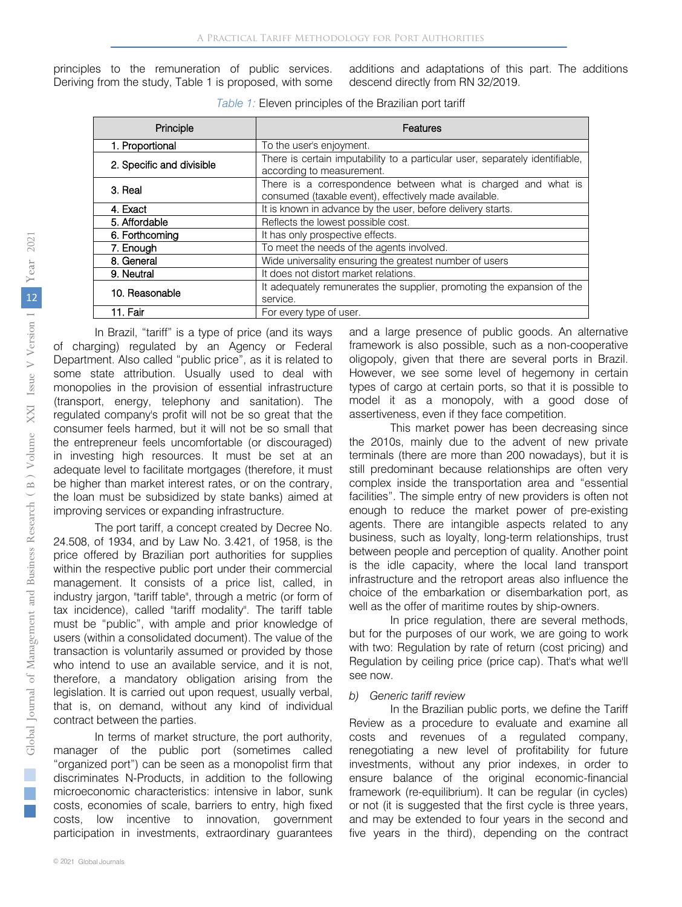principles to the remuneration of public services. Deriving from the study, Table 1 is proposed, with some additions and adaptations of this part. The additions descend directly from RN 32/2019.

| Principle                 | Features                                                                                                               |  |  |  |  |
|---------------------------|------------------------------------------------------------------------------------------------------------------------|--|--|--|--|
| 1. Proportional           | To the user's enjoyment.                                                                                               |  |  |  |  |
| 2. Specific and divisible | There is certain imputability to a particular user, separately identifiable,<br>according to measurement.              |  |  |  |  |
| 3. Real                   | There is a correspondence between what is charged and what is<br>consumed (taxable event), effectively made available. |  |  |  |  |
| 4. Exact                  | It is known in advance by the user, before delivery starts.                                                            |  |  |  |  |
| 5. Affordable             | Reflects the lowest possible cost.                                                                                     |  |  |  |  |
| 6. Forthcoming            | It has only prospective effects.                                                                                       |  |  |  |  |
| 7. Enough                 | To meet the needs of the agents involved.                                                                              |  |  |  |  |
| 8. General                | Wide universality ensuring the greatest number of users                                                                |  |  |  |  |
| 9. Neutral                | It does not distort market relations.                                                                                  |  |  |  |  |
| 10. Reasonable            | It adequately remunerates the supplier, promoting the expansion of the<br>service.                                     |  |  |  |  |
| 11. Fair                  | For every type of user.                                                                                                |  |  |  |  |

In Brazil, "tariff" is a type of price (and its ways of charging) regulated by an Agency or Federal Department. Also called "public price", as it is related to some state attribution. Usually used to deal with monopolies in the provision of essential infrastructure (transport, energy, telephony and sanitation). The regulated company's profit will not be so great that the consumer feels harmed, but it will not be so small that the entrepreneur feels uncomfortable (or discouraged) in investing high resources. It must be set at an adequate level to facilitate mortgages (therefore, it must be higher than market interest rates, or on the contrary, the loan must be subsidized by state banks) aimed at improving services or expanding infrastructure.

The port tariff, a concept created by Decree No. 24.508, of 1934, and by Law No. 3.421, of 1958, is the price offered by Brazilian port authorities for supplies within the respective public port under their commercial management. It consists of a price list, called, in industry jargon, "tariff table", through a metric (or form of tax incidence), called "tariff modality". The tariff table must be "public", with ample and prior knowledge of users (within a consolidated document). The value of the transaction is voluntarily assumed or provided by those who intend to use an available service, and it is not, therefore, a mandatory obligation arising from the legislation. It is carried out upon request, usually verbal, that is, on demand, without any kind of individual contract between the parties.

In terms of market structure, the port authority, manager of the public port (sometimes called "organized port") can be seen as a monopolist firm that discriminates N-Products, in addition to the following microeconomic characteristics: intensive in labor, sunk costs, economies of scale, barriers to entry, high fixed costs, low incentive to innovation, government participation in investments, extraordinary guarantees

and a large presence of public goods. An alternative framework is also possible, such as a non-cooperative oligopoly, given that there are several ports in Brazil. However, we see some level of hegemony in certain types of cargo at certain ports, so that it is possible to model it as a monopoly, with a good dose of assertiveness, even if they face competition.

This market power has been decreasing since the 2010s, mainly due to the advent of new private terminals (there are more than 200 nowadays), but it is still predominant because relationships are often very complex inside the transportation area and "essential facilities". The simple entry of new providers is often not enough to reduce the market power of pre-existing agents. There are intangible aspects related to any business, such as loyalty, long-term relationships, trust between people and perception of quality. Another point is the idle capacity, where the local land transport infrastructure and the retroport areas also influence the choice of the embarkation or disembarkation port, as well as the offer of maritime routes by ship-owners.

In price regulation, there are several methods, but for the purposes of our work, we are going to work with two: Regulation by rate of return (cost pricing) and Regulation by ceiling price (price cap). That's what we'll see now.

#### *b) Generic tariff review*

In the Brazilian public ports, we define the Tariff Review as a procedure to evaluate and examine all costs and revenues of a regulated company, renegotiating a new level of profitability for future investments, without any prior indexes, in order to ensure balance of the original economic-financial framework (re-equilibrium). It can be regular (in cycles) or not (it is suggested that the first cycle is three years, and may be extended to four years in the second and five years in the third), depending on the contract

 $\mathbb{R}^n$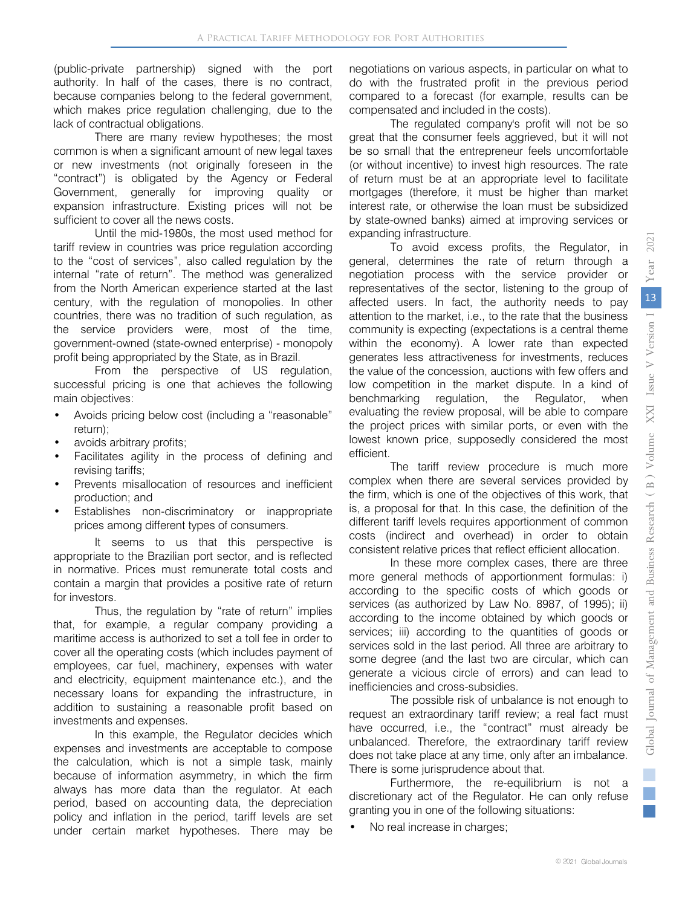(public-private partnership) signed with the port authority. In half of the cases, there is no contract, because companies belong to the federal government, which makes price regulation challenging, due to the lack of contractual obligations.

There are many review hypotheses; the most common is when a significant amount of new legal taxes or new investments (not originally foreseen in the "contract") is obligated by the Agency or Federal Government, generally for improving quality or expansion infrastructure. Existing prices will not be sufficient to cover all the news costs.

Until the mid-1980s, the most used method for tariff review in countries was price regulation according to the "cost of services", also called regulation by the internal "rate of return". The method was generalized from the North American experience started at the last century, with the regulation of monopolies. In other countries, there was no tradition of such regulation, as the service providers were, most of the time, government-owned (state-owned enterprise) - monopoly profit being appropriated by the State, as in Brazil.

From the perspective of US regulation, successful pricing is one that achieves the following main objectives:

- Avoids pricing below cost (including a "reasonable" return);
- avoids arbitrary profits;
- Facilitates agility in the process of defining and revising tariffs;
- Prevents misallocation of resources and inefficient production; and
- Establishes non-discriminatory or inappropriate prices among different types of consumers.

It seems to us that this perspective is appropriate to the Brazilian port sector, and is reflected in normative. Prices must remunerate total costs and contain a margin that provides a positive rate of return for investors.

Thus, the regulation by "rate of return" implies that, for example, a regular company providing a maritime access is authorized to set a toll fee in order to cover all the operating costs (which includes payment of employees, car fuel, machinery, expenses with water and electricity, equipment maintenance etc.), and the necessary loans for expanding the infrastructure, in addition to sustaining a reasonable profit based on investments and expenses.

In this example, the Regulator decides which expenses and investments are acceptable to compose the calculation, which is not a simple task, mainly because of information asymmetry, in which the firm always has more data than the regulator. At each period, based on accounting data, the depreciation policy and inflation in the period, tariff levels are set under certain market hypotheses. There may be

negotiations on various aspects, in particular on what to do with the frustrated profit in the previous period compared to a forecast (for example, results can be compensated and included in the costs).

The regulated company's profit will not be so great that the consumer feels aggrieved, but it will not be so small that the entrepreneur feels uncomfortable (or without incentive) to invest high resources. The rate of return must be at an appropriate level to facilitate mortgages (therefore, it must be higher than market interest rate, or otherwise the loan must be subsidized by state-owned banks) aimed at improving services or expanding infrastructure.

To avoid excess profits, the Regulator, in general, determines the rate of return through a negotiation process with the service provider or representatives of the sector, listening to the group of affected users. In fact, the authority needs to pay attention to the market, i.e., to the rate that the business community is expecting (expectations is a central theme within the economy). A lower rate than expected generates less attractiveness for investments, reduces the value of the concession, auctions with few offers and low competition in the market dispute. In a kind of benchmarking regulation, the Regulator, when evaluating the review proposal, will be able to compare the project prices with similar ports, or even with the lowest known price, supposedly considered the most efficient.

The tariff review procedure is much more complex when there are several services provided by the firm, which is one of the objectives of this work, that is, a proposal for that. In this case, the definition of the different tariff levels requires apportionment of common costs (indirect and overhead) in order to obtain consistent relative prices that reflect efficient allocation.

In these more complex cases, there are three more general methods of apportionment formulas: i) according to the specific costs of which goods or services (as authorized by Law No. 8987, of 1995); ii) according to the income obtained by which goods or services; iii) according to the quantities of goods or services sold in the last period. All three are arbitrary to some degree (and the last two are circular, which can generate a vicious circle of errors) and can lead to inefficiencies and cross-subsidies.

The possible risk of unbalance is not enough to request an extraordinary tariff review; a real fact must have occurred, i.e., the "contract" must already be unbalanced. Therefore, the extraordinary tariff review does not take place at any time, only after an imbalance. There is some jurisprudence about that.

Furthermore, the re-equilibrium is not a discretionary act of the Regulator. He can only refuse granting you in one of the following situations:

• No real increase in charges;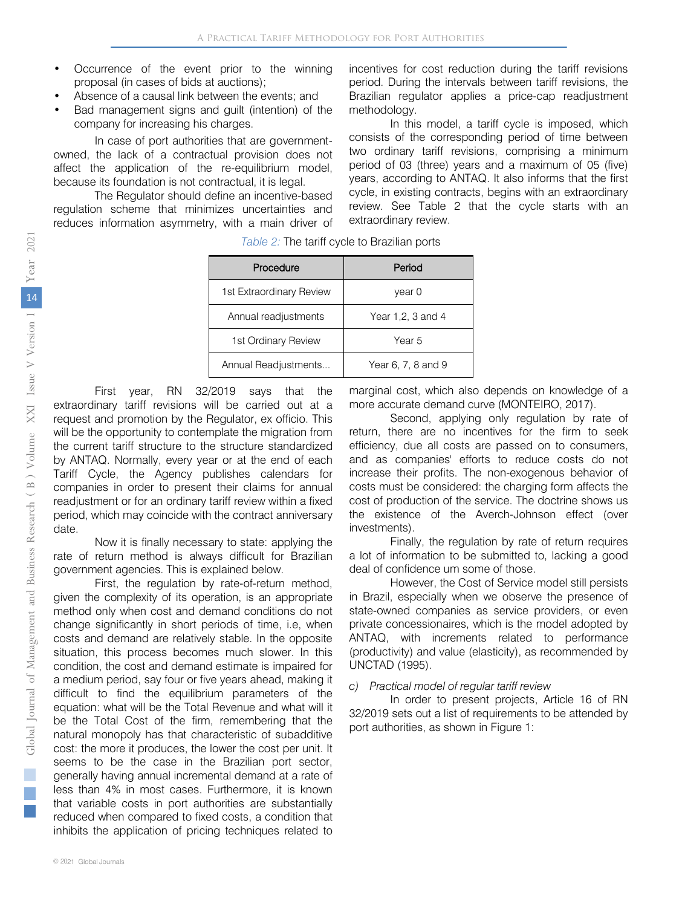- Occurrence of the event prior to the winning proposal (in cases of bids at auctions);
- Absence of a causal link between the events; and
- Bad management signs and guilt (intention) of the company for increasing his charges.

In case of port authorities that are governmentowned, the lack of a contractual provision does not affect the application of the re-equilibrium model, because its foundation is not contractual, it is legal.

The Regulator should define an incentive-based regulation scheme that minimizes uncertainties and reduces information asymmetry, with a main driver of incentives for cost reduction during the tariff revisions period. During the intervals between tariff revisions, the Brazilian regulator applies a price-cap readjustment methodology.

In this model, a tariff cycle is imposed, which consists of the corresponding period of time between two ordinary tariff revisions, comprising a minimum period of 03 (three) years and a maximum of 05 (five) years, according to ANTAQ. It also informs that the first cycle, in existing contracts, begins with an extraordinary review. See Table 2 that the cycle starts with an extraordinary review.

| Procedure                | Period             |
|--------------------------|--------------------|
| 1st Extraordinary Review | year 0             |
| Annual readjustments     | Year 1,2, 3 and 4  |
| 1st Ordinary Review      | Year 5             |
| Annual Readjustments     | Year 6, 7, 8 and 9 |

*Table 2:* The tariff cycle to Brazilian ports

First year, RN 32/2019 says that the extraordinary tariff revisions will be carried out at a request and promotion by the Regulator, ex officio. This will be the opportunity to contemplate the migration from the current tariff structure to the structure standardized by ANTAQ. Normally, every year or at the end of each Tariff Cycle, the Agency publishes calendars for companies in order to present their claims for annual readjustment or for an ordinary tariff review within a fixed period, which may coincide with the contract anniversary date.

Now it is finally necessary to state: applying the rate of return method is always difficult for Brazilian government agencies. This is explained below.

First, the regulation by rate-of-return method, given the complexity of its operation, is an appropriate method only when cost and demand conditions do not change significantly in short periods of time, i.e, when costs and demand are relatively stable. In the opposite situation, this process becomes much slower. In this condition, the cost and demand estimate is impaired for a medium period, say four or five years ahead, making it difficult to find the equilibrium parameters of the equation: what will be the Total Revenue and what will it be the Total Cost of the firm, remembering that the natural monopoly has that characteristic of subadditive cost: the more it produces, the lower the cost per unit. It seems to be the case in the Brazilian port sector, generally having annual incremental demand at a rate of less than 4% in most cases. Furthermore, it is known that variable costs in port authorities are substantially reduced when compared to fixed costs, a condition that inhibits the application of pricing techniques related to

marginal cost, which also depends on knowledge of a more accurate demand curve (MONTEIRO, 2017).

Second, applying only regulation by rate of return, there are no incentives for the firm to seek efficiency, due all costs are passed on to consumers, and as companies' efforts to reduce costs do not increase their profits. The non-exogenous behavior of costs must be considered: the charging form affects the cost of production of the service. The doctrine shows us the existence of the Averch-Johnson effect (over investments).

Finally, the regulation by rate of return requires a lot of information to be submitted to, lacking a good deal of confidence um some of those.

However, the Cost of Service model still persists in Brazil, especially when we observe the presence of state-owned companies as service providers, or even private concessionaires, which is the model adopted by ANTAQ, with increments related to performance (productivity) and value (elasticity), as recommended by UNCTAD (1995).

#### *c) Practical model of regular tariff review*

In order to present projects, Article 16 of RN 32/2019 sets out a list of requirements to be attended by port authorities, as shown in Figure 1:

 $\mathbb{R}^n$ **College**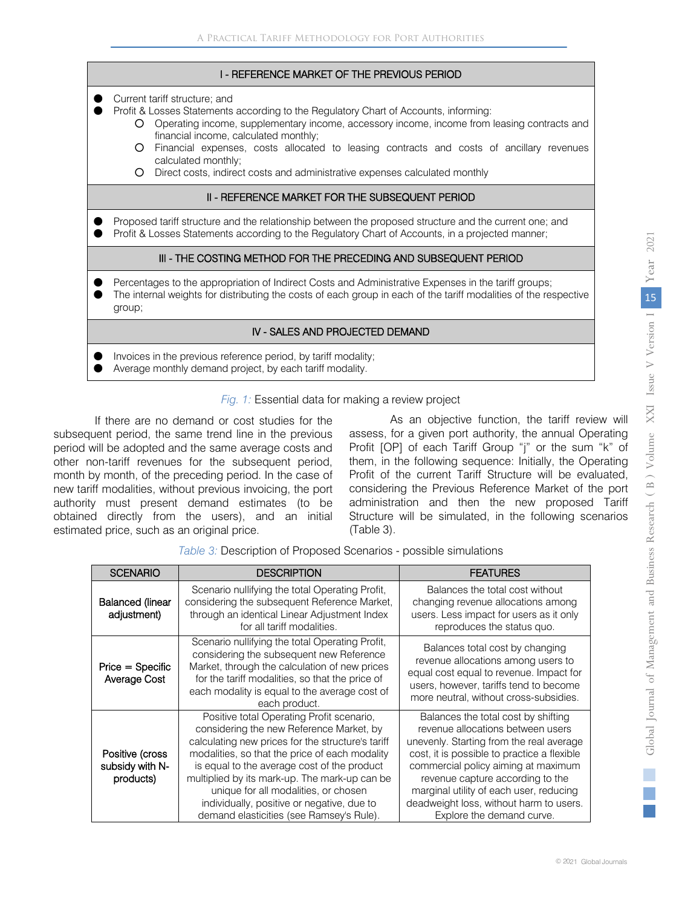#### I - REFERENCE MARKET OF THE PREVIOUS PERIOD

- Current tariff structure; and
- Profit & Losses Statements according to the Regulatory Chart of Accounts, informing:
	- Operating income, supplementary income, accessory income, income from leasing contracts and financial income, calculated monthly;
	- Financial expenses, costs allocated to leasing contracts and costs of ancillary revenues calculated monthly;
	- Direct costs, indirect costs and administrative expenses calculated monthly

#### II - REFERENCE MARKET FOR THE SUBSEQUENT PERIOD

Proposed tariff structure and the relationship between the proposed structure and the current one; and ● Profit & Losses Statements according to the Regulatory Chart of Accounts, in a projected manner;

# III - THE COSTING METHOD FOR THE PRECEDING AND SUBSEQUENT PERIOD

- Percentages to the appropriation of Indirect Costs and Administrative Expenses in the tariff groups;
- The internal weights for distributing the costs of each group in each of the tariff modalities of the respective group;

# IV - SALES AND PROJECTED DEMAND

- Invoices in the previous reference period, by tariff modality;
- Average monthly demand project, by each tariff modality.

*Fig. 1:* Essential data for making a review project

If there are no demand or cost studies for the subsequent period, the same trend line in the previous period will be adopted and the same average costs and other non-tariff revenues for the subsequent period, month by month, of the preceding period. In the case of new tariff modalities, without previous invoicing, the port authority must present demand estimates (to be obtained directly from the users), and an initial estimated price, such as an original price.

As an objective function, the tariff review will assess, for a given port authority, the annual Operating Profit [OP] of each Tariff Group "j" or the sum "k" of them, in the following sequence: Initially, the Operating Profit of the current Tariff Structure will be evaluated, considering the Previous Reference Market of the port administration and then the new proposed Tariff Structure will be simulated, in the following scenarios (Table 3).

| <b>SCENARIO</b>                                 | <b>DESCRIPTION</b>                                                                                                                                                                                                                                                                                                                                                                                                             | <b>FEATURES</b>                                                                                                                                                                                                                                                                                                                                                   |
|-------------------------------------------------|--------------------------------------------------------------------------------------------------------------------------------------------------------------------------------------------------------------------------------------------------------------------------------------------------------------------------------------------------------------------------------------------------------------------------------|-------------------------------------------------------------------------------------------------------------------------------------------------------------------------------------------------------------------------------------------------------------------------------------------------------------------------------------------------------------------|
| <b>Balanced (linear</b><br>adjustment)          | Scenario nullifying the total Operating Profit,<br>considering the subsequent Reference Market,<br>through an identical Linear Adjustment Index<br>for all tariff modalities.                                                                                                                                                                                                                                                  | Balances the total cost without<br>changing revenue allocations among<br>users. Less impact for users as it only<br>reproduces the status quo.                                                                                                                                                                                                                    |
| $Price = Specific$<br>Average Cost              | Scenario nullifying the total Operating Profit,<br>considering the subsequent new Reference<br>Market, through the calculation of new prices<br>for the tariff modalities, so that the price of<br>each modality is equal to the average cost of<br>each product.                                                                                                                                                              | Balances total cost by changing<br>revenue allocations among users to<br>equal cost equal to revenue. Impact for<br>users, however, tariffs tend to become<br>more neutral, without cross-subsidies.                                                                                                                                                              |
| Positive (cross<br>subsidy with N-<br>products) | Positive total Operating Profit scenario,<br>considering the new Reference Market, by<br>calculating new prices for the structure's tariff<br>modalities, so that the price of each modality<br>is equal to the average cost of the product<br>multiplied by its mark-up. The mark-up can be<br>unique for all modalities, or chosen<br>individually, positive or negative, due to<br>demand elasticities (see Ramsey's Rule). | Balances the total cost by shifting<br>revenue allocations between users<br>unevenly. Starting from the real average<br>cost, it is possible to practice a flexible<br>commercial policy aiming at maximum<br>revenue capture according to the<br>marginal utility of each user, reducing<br>deadweight loss, without harm to users.<br>Explore the demand curve. |

*Table 3:* Description of Proposed Scenarios - possible simulations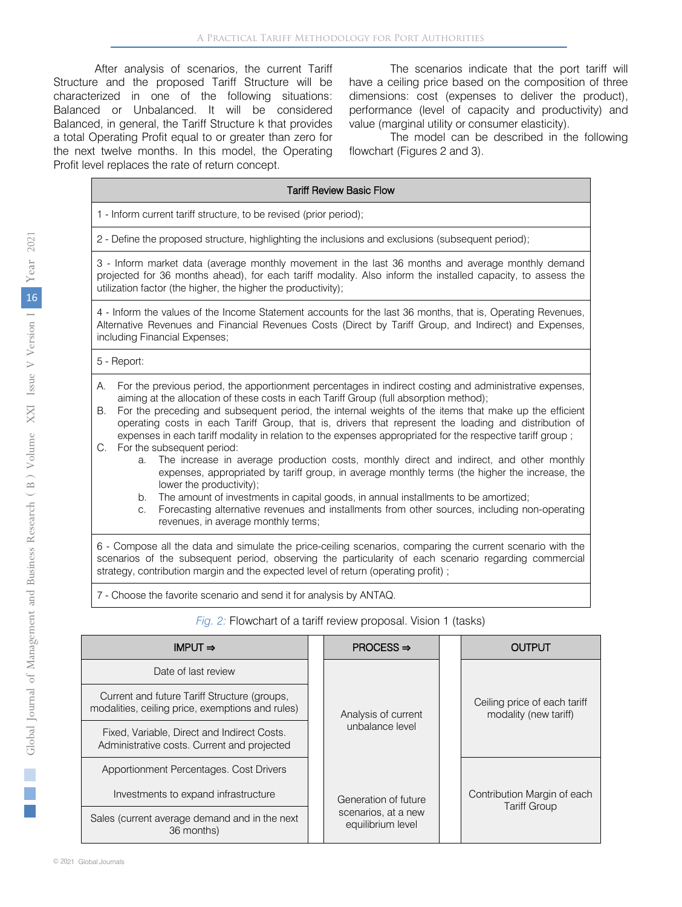After analysis of scenarios, the current Tariff Structure and the proposed Tariff Structure will be characterized in one of the following situations: Balanced or Unbalanced. It will be considered Balanced, in general, the Tariff Structure k that provides a total Operating Profit equal to or greater than zero for the next twelve months. In this model, the Operating Profit level replaces the rate of return concept.

The scenarios indicate that the port tariff will have a ceiling price based on the composition of three dimensions: cost (expenses to deliver the product), performance (level of capacity and productivity) and value (marginal utility or consumer elasticity).

The model can be described in the following flowchart (Figures 2 and 3).

|          | <b>Tariff Review Basic Flow</b>                                                                                                                                                                                                                                                                                                                                                                                                                                                                                                   |  |  |  |  |  |  |
|----------|-----------------------------------------------------------------------------------------------------------------------------------------------------------------------------------------------------------------------------------------------------------------------------------------------------------------------------------------------------------------------------------------------------------------------------------------------------------------------------------------------------------------------------------|--|--|--|--|--|--|
|          | 1 - Inform current tariff structure, to be revised (prior period);                                                                                                                                                                                                                                                                                                                                                                                                                                                                |  |  |  |  |  |  |
|          | 2 - Define the proposed structure, highlighting the inclusions and exclusions (subsequent period);                                                                                                                                                                                                                                                                                                                                                                                                                                |  |  |  |  |  |  |
|          | 3 - Inform market data (average monthly movement in the last 36 months and average monthly demand<br>projected for 36 months ahead), for each tariff modality. Also inform the installed capacity, to assess the<br>utilization factor (the higher, the higher the productivity);                                                                                                                                                                                                                                                 |  |  |  |  |  |  |
|          | 4 - Inform the values of the Income Statement accounts for the last 36 months, that is, Operating Revenues,<br>Alternative Revenues and Financial Revenues Costs (Direct by Tariff Group, and Indirect) and Expenses,<br>including Financial Expenses;                                                                                                                                                                                                                                                                            |  |  |  |  |  |  |
|          | 5 - Report:                                                                                                                                                                                                                                                                                                                                                                                                                                                                                                                       |  |  |  |  |  |  |
| А.<br>В. | For the previous period, the apportionment percentages in indirect costing and administrative expenses,<br>aiming at the allocation of these costs in each Tariff Group (full absorption method);<br>For the preceding and subsequent period, the internal weights of the items that make up the efficient<br>operating costs in each Tariff Group, that is, drivers that represent the loading and distribution of<br>expenses in each tariff modality in relation to the expenses appropriated for the respective tariff group; |  |  |  |  |  |  |
|          | C. For the subsequent period:                                                                                                                                                                                                                                                                                                                                                                                                                                                                                                     |  |  |  |  |  |  |

- a. The increase in average production costs, monthly direct and indirect, and other monthly expenses, appropriated by tariff group, in average monthly terms (the higher the increase, the lower the productivity);
- b. The amount of investments in capital goods, in annual installments to be amortized;
- c. Forecasting alternative revenues and installments from other sources, including non-operating revenues, in average monthly terms;

6 - Compose all the data and simulate the price-ceiling scenarios, comparing the current scenario with the scenarios of the subsequent period, observing the particularity of each scenario regarding commercial strategy, contribution margin and the expected level of return (operating profit) ;

7 - Choose the favorite scenario and send it for analysis by ANTAQ.

#### *Fig. 2:* Flowchart of a tariff review proposal. Vision 1 (tasks)

| IMPUT $\Rightarrow$                                                                              |  | $PROCESS \Rightarrow$                    |  | OUTPUT                                                |
|--------------------------------------------------------------------------------------------------|--|------------------------------------------|--|-------------------------------------------------------|
| Date of last review                                                                              |  |                                          |  |                                                       |
| Current and future Tariff Structure (groups,<br>modalities, ceiling price, exemptions and rules) |  | Analysis of current<br>unbalance level   |  | Ceiling price of each tariff<br>modality (new tariff) |
| Fixed, Variable, Direct and Indirect Costs.<br>Administrative costs. Current and projected       |  |                                          |  |                                                       |
| Apportionment Percentages. Cost Drivers                                                          |  |                                          |  |                                                       |
| Investments to expand infrastructure                                                             |  | Generation of future                     |  | Contribution Margin of each                           |
| Sales (current average demand and in the next<br>36 months)                                      |  | scenarios, at a new<br>equilibrium level |  | <b>Tariff Group</b>                                   |

Ė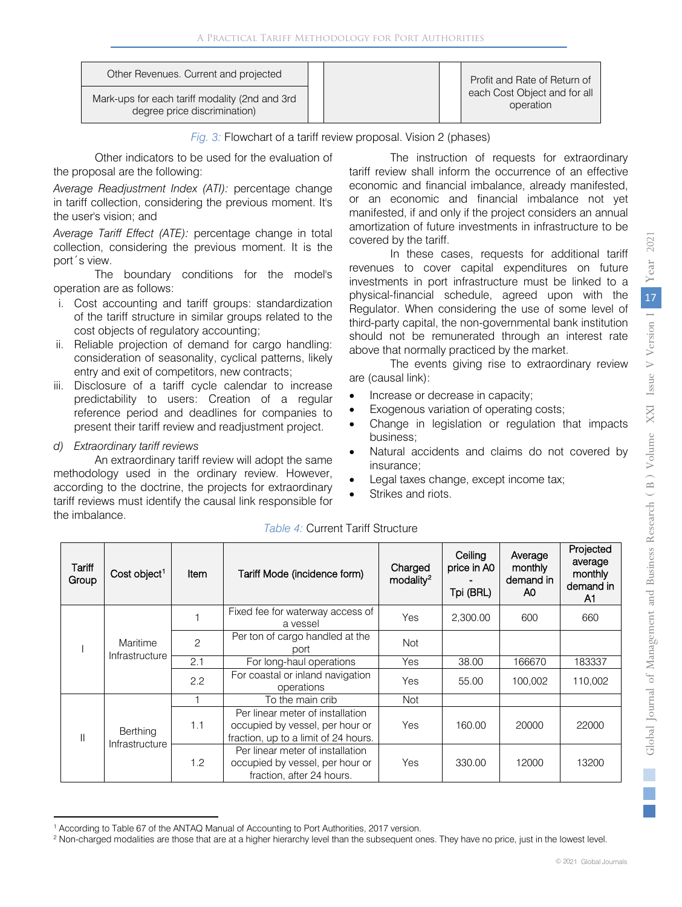| Other Revenues. Current and projected                                           |  | Profit and Rate of Return of              |
|---------------------------------------------------------------------------------|--|-------------------------------------------|
| Mark-ups for each tariff modality (2nd and 3rd)<br>degree price discrimination) |  | each Cost Object and for all<br>operation |

*Fig. 3:* Flowchart of a tariff review proposal. Vision 2 (phases)

Other indicators to be used for the evaluation of the proposal are the following:

*Average Readjustment Index (ATI):* percentage change in tariff collection, considering the previous moment. It's the user's vision; and

*Average Tariff Effect (ATE):* percentage change in total collection, considering the previous moment. It is the port´s view.

The boundary conditions for the model's operation are as follows:

- i. Cost accounting and tariff groups: standardization of the tariff structure in similar groups related to the cost objects of regulatory accounting;
- ii. Reliable projection of demand for cargo handling: consideration of seasonality, cyclical patterns, likely entry and exit of competitors, new contracts;
- iii. Disclosure of a tariff cycle calendar to increase predictability to users: Creation of a regular reference period and deadlines for companies to present their tariff review and readjustment project.
- *d) Extraordinary tariff reviews*

 $\overline{a}$ 

An extraordinary tariff review will adopt the same methodology used in the ordinary review. However, according to the doctrine, the projects for extraordinary tariff reviews must identify the causal link responsible for the imbalance.

The instruction of requests for extraordinary tariff review shall inform the occurrence of an effective economic and financial imbalance, already manifested, or an economic and financial imbalance not yet manifested, if and only if the project considers an annual amortization of future investments in infrastructure to be covered by the tariff.

In these cases, requests for additional tariff revenues to cover capital expenditures on future investments in port infrastructure must be linked to a physical-financial schedule, agreed upon with the Regulator. When considering the use of some level of third-party capital, the non-governmental bank institution should not be remunerated through an interest rate above that normally practiced by the market.

The events giving rise to extraordinary review are (causal link):

- Increase or decrease in capacity;
- Exogenous variation of operating costs;
- Change in legislation or regulation that impacts business;
- Natural accidents and claims do not covered by insurance;
- Legal taxes change, except income tax;
- Strikes and riots.

| Tariff<br>Group | Cost object <sup>1</sup>   | Item | Tariff Mode (incidence form)                                                                                | Charged<br>modality <sup>2</sup> | Ceiling<br>price in A0<br>Tpi (BRL) | Average<br>monthly<br>demand in<br>A0 | Projected<br>average<br>monthly<br>demand in<br>A1 |
|-----------------|----------------------------|------|-------------------------------------------------------------------------------------------------------------|----------------------------------|-------------------------------------|---------------------------------------|----------------------------------------------------|
|                 |                            |      | Fixed fee for waterway access of<br>a vessel                                                                | Yes                              | 2,300.00                            | 600                                   | 660                                                |
|                 | Maritime<br>Infrastructure | 2    | Per ton of cargo handled at the<br>port                                                                     | <b>Not</b>                       |                                     |                                       |                                                    |
|                 |                            | 2.1  | For long-haul operations                                                                                    | Yes                              | 38.00                               | 166670                                | 183337                                             |
|                 |                            | 2.2  | For coastal or inland navigation<br>operations                                                              | Yes                              | 55.00                               | 100.002                               | 110.002                                            |
|                 |                            |      | To the main crib                                                                                            | <b>Not</b>                       |                                     |                                       |                                                    |
| Ш               | Berthing<br>Infrastructure | 1.1  | Per linear meter of installation<br>occupied by vessel, per hour or<br>fraction, up to a limit of 24 hours. | Yes                              | 160.00                              | 20000                                 | 22000                                              |
|                 |                            | 1.2  | Per linear meter of installation<br>occupied by vessel, per hour or<br>fraction, after 24 hours.            | Yes                              | 330.00                              | 12000                                 | 13200                                              |

### *Table 4:* Current Tariff Structure

<span id="page-7-0"></span><sup>&</sup>lt;sup>1</sup> According to Table 67 of the ANTAQ Manual of Accounting to Port Authorities, 2017 version.

<span id="page-7-1"></span><sup>&</sup>lt;sup>2</sup> Non-charged modalities are those that are at a higher hierarchy level than the subsequent ones. They have no price, just in the lowest level.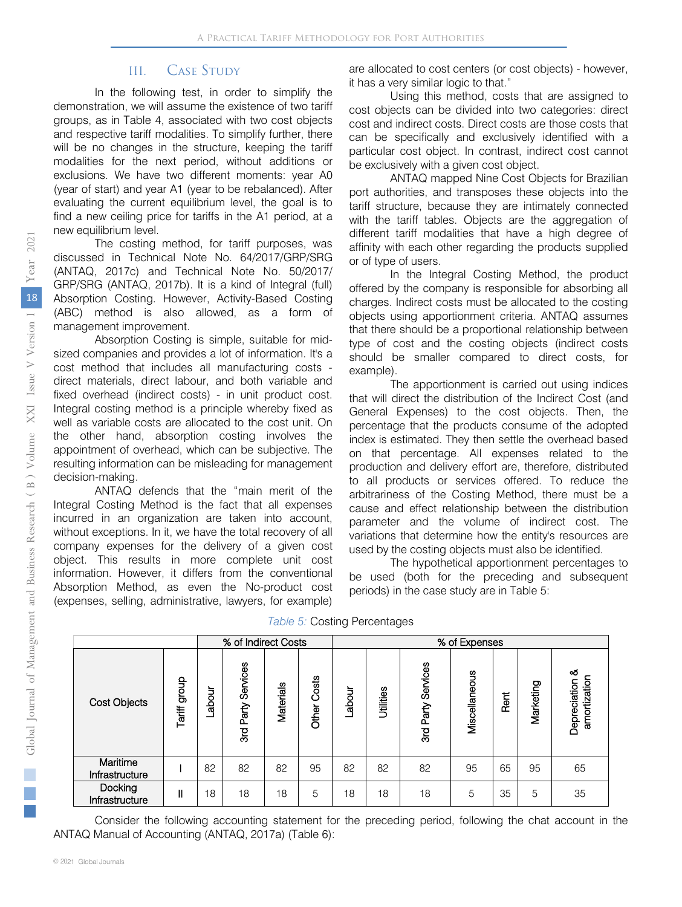# III. Case Study

In the following test, in order to simplify the demonstration, we will assume the existence of two tariff groups, as in Table 4, associated with two cost objects and respective tariff modalities. To simplify further, there will be no changes in the structure, keeping the tariff modalities for the next period, without additions or exclusions. We have two different moments: year A0 (year of start) and year A1 (year to be rebalanced). After evaluating the current equilibrium level, the goal is to find a new ceiling price for tariffs in the A1 period, at a new equilibrium level.

The costing method, for tariff purposes, was discussed in Technical Note No. 64/2017/GRP/SRG (ANTAQ, 2017c) and Technical Note No. 50/2017/ GRP/SRG (ANTAQ, 2017b). It is a kind of Integral (full) Absorption Costing. However, Activity-Based Costing (ABC) method is also allowed, as a form of management improvement.

Absorption Costing is simple, suitable for midsized companies and provides a lot of information. It's a cost method that includes all manufacturing costs direct materials, direct labour, and both variable and fixed overhead (indirect costs) - in unit product cost. Integral costing method is a principle whereby fixed as well as variable costs are allocated to the cost unit. On the other hand, absorption costing involves the appointment of overhead, which can be subjective. The resulting information can be misleading for management decision-making.

ANTAQ defends that the "main merit of the Integral Costing Method is the fact that all expenses incurred in an organization are taken into account, without exceptions. In it, we have the total recovery of all company expenses for the delivery of a given cost object. This results in more complete unit cost information. However, it differs from the conventional Absorption Method, as even the No-product cost (expenses, selling, administrative, lawyers, for example)

are allocated to cost centers (or cost objects) - however, it has a very similar logic to that."

Using this method, costs that are assigned to cost objects can be divided into two categories: direct cost and indirect costs. Direct costs are those costs that can be specifically and exclusively identified with a particular cost object. In contrast, indirect cost cannot be exclusively with a given cost object.

ANTAQ mapped Nine Cost Objects for Brazilian port authorities, and transposes these objects into the tariff structure, because they are intimately connected with the tariff tables. Objects are the aggregation of different tariff modalities that have a high degree of affinity with each other regarding the products supplied or of type of users.

In the Integral Costing Method, the product offered by the company is responsible for absorbing all charges. Indirect costs must be allocated to the costing objects using apportionment criteria. ANTAQ assumes that there should be a proportional relationship between type of cost and the costing objects (indirect costs should be smaller compared to direct costs, for example).

The apportionment is carried out using indices that will direct the distribution of the Indirect Cost (and General Expenses) to the cost objects. Then, the percentage that the products consume of the adopted index is estimated. They then settle the overhead based on that percentage. All expenses related to the production and delivery effort are, therefore, distributed to all products or services offered. To reduce the arbitrariness of the Costing Method, there must be a cause and effect relationship between the distribution parameter and the volume of indirect cost. The variations that determine how the entity's resources are used by the costing objects must also be identified.

The hypothetical apportionment percentages to be used (both for the preceding and subsequent periods) in the case study are in Table 5:

| Table 5: Costing Percentages |  |
|------------------------------|--|
|------------------------------|--|

|                            | % of Indirect Costs |       |                          |           | % of Expenses  |       |           |                       |               |      |           |                                   |
|----------------------------|---------------------|-------|--------------------------|-----------|----------------|-------|-----------|-----------------------|---------------|------|-----------|-----------------------------------|
| <b>Cost Objects</b>        | dioub<br>Tariff     | abour | Services<br>Party<br>3rd | Materials | Costs<br>Other | abour | Utilities | Services<br>3rd Party | Miscellaneous | Rent | Marketing | ఱ<br>amortization<br>Depreciation |
| Maritime<br>Infrastructure |                     | 82    | 82                       | 82        | 95             | 82    | 82        | 82                    | 95            | 65   | 95        | 65                                |
| Docking<br>Infrastructure  | $\mathbf{I}$        | 18    | 18                       | 18        | 5              | 18    | 18        | 18                    | 5             | 35   | 5         | 35                                |

Consider the following accounting statement for the preceding period, following the chat account in the ANTAQ Manual of Accounting (ANTAQ, 2017a) (Table 6):

 $\mathbb{R}^2$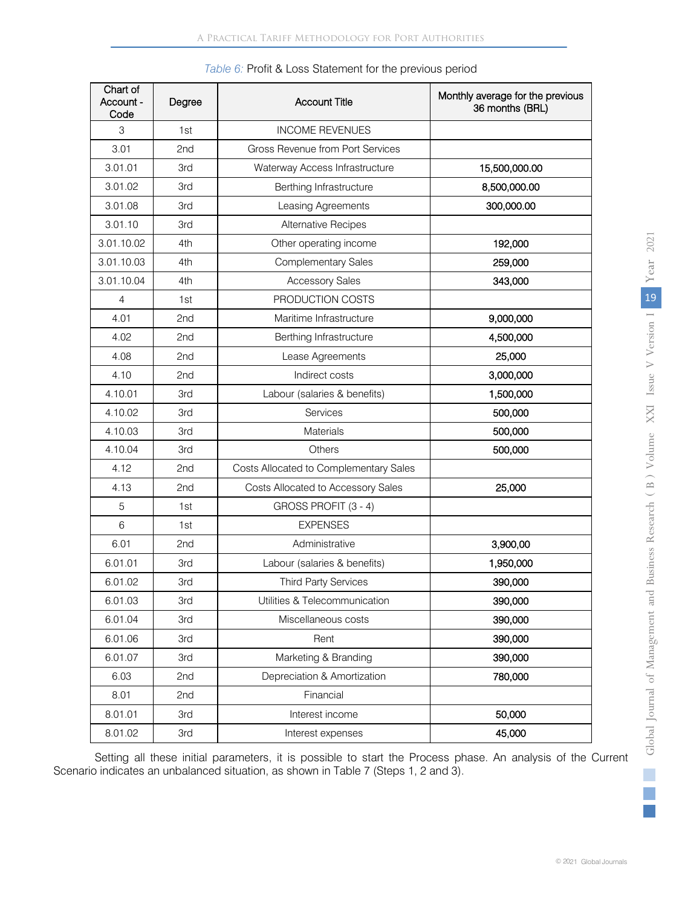| Chart of<br>Account -<br>Code | Degree | <b>Account Title</b>                   | Monthly average for the previous<br>36 months (BRL) |
|-------------------------------|--------|----------------------------------------|-----------------------------------------------------|
| 3                             | 1st    | <b>INCOME REVENUES</b>                 |                                                     |
| 3.01                          | 2nd    | Gross Revenue from Port Services       |                                                     |
| 3.01.01                       | 3rd    | Waterway Access Infrastructure         | 15,500,000.00                                       |
| 3.01.02                       | 3rd    | Berthing Infrastructure                | 8,500,000.00                                        |
| 3.01.08                       | 3rd    | Leasing Agreements                     | 300,000.00                                          |
| 3.01.10                       | 3rd    | <b>Alternative Recipes</b>             |                                                     |
| 3.01.10.02                    | 4th    | Other operating income                 | 192,000                                             |
| 3.01.10.03                    | 4th    | <b>Complementary Sales</b>             | 259,000                                             |
| 3.01.10.04                    | 4th    | <b>Accessory Sales</b>                 | 343,000                                             |
| 4                             | 1st    | PRODUCTION COSTS                       |                                                     |
| 4.01                          | 2nd    | Maritime Infrastructure                | 9,000,000                                           |
| 4.02                          | 2nd    | Berthing Infrastructure                | 4,500,000                                           |
| 4.08                          | 2nd    | Lease Agreements                       | 25,000                                              |
| 4.10                          | 2nd    | Indirect costs                         | 3,000,000                                           |
| 4.10.01                       | 3rd    | Labour (salaries & benefits)           | 1,500,000                                           |
| 4.10.02                       | 3rd    | Services                               | 500,000                                             |
| 4.10.03                       | 3rd    | <b>Materials</b>                       | 500,000                                             |
| 4.10.04                       | 3rd    | Others                                 | 500,000                                             |
| 4.12                          | 2nd    | Costs Allocated to Complementary Sales |                                                     |
| 4.13                          | 2nd    | Costs Allocated to Accessory Sales     | 25,000                                              |
| 5                             | 1st    | GROSS PROFIT (3 - 4)                   |                                                     |
| 6                             | 1st    | <b>EXPENSES</b>                        |                                                     |
| 6.01                          | 2nd    | Administrative                         | 3,900,00                                            |
| 6.01.01                       | 3rd    | Labour (salaries & benefits)           | 1,950,000                                           |
| 6.01.02                       | 3rd    | <b>Third Party Services</b>            | 390,000                                             |
| 6.01.03                       | 3rd    | Utilities & Telecommunication          | 390,000                                             |
| 6.01.04                       | 3rd    | Miscellaneous costs                    | 390,000                                             |
| 6.01.06                       | 3rd    | Rent                                   | 390,000                                             |
| 6.01.07                       | 3rd    | Marketing & Branding                   | 390,000                                             |
| 6.03                          | 2nd    | Depreciation & Amortization            | 780,000                                             |
| 8.01                          | 2nd    | Financial                              |                                                     |
| 8.01.01                       | 3rd    | Interest income                        | 50,000                                              |
| 8.01.02                       | 3rd    | Interest expenses                      | 45,000                                              |

|  | Table 6: Profit & Loss Statement for the previous period |  |  |
|--|----------------------------------------------------------|--|--|
|  |                                                          |  |  |

Setting all these initial parameters, it is possible to start the Process phase. An analysis of the Current Scenario indicates an unbalanced situation, as shown in Table 7 (Steps 1, 2 and 3).

p.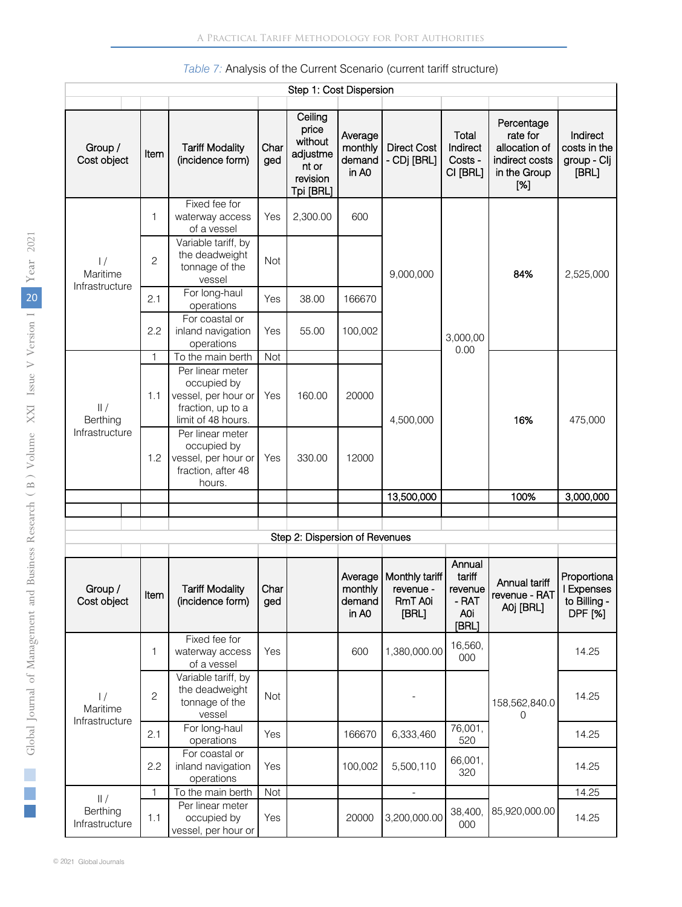| Step 1: Cost Dispersion                     |                |                                                                                                   |             |                                                                           |                                                   |                                                 |                                                      |                                                                                  |                                                             |
|---------------------------------------------|----------------|---------------------------------------------------------------------------------------------------|-------------|---------------------------------------------------------------------------|---------------------------------------------------|-------------------------------------------------|------------------------------------------------------|----------------------------------------------------------------------------------|-------------------------------------------------------------|
| Group /<br>Cost object                      | Item           | <b>Tariff Modality</b><br>(incidence form)                                                        | Char<br>ged | Ceiling<br>price<br>without<br>adjustme<br>nt or<br>revision<br>Tpi [BRL] | Average<br>monthly<br>demand<br>in A <sub>0</sub> | <b>Direct Cost</b><br>- CDj [BRL]               | Total<br>Indirect<br>Costs -<br>CI [BRL]             | Percentage<br>rate for<br>allocation of<br>indirect costs<br>in the Group<br>[%] | Indirect<br>costs in the<br>group - Clj<br>[BRL]            |
| $\frac{1}{2}$<br>Maritime<br>Infrastructure | 1              | Fixed fee for<br>waterway access<br>of a vessel                                                   | Yes         | 2,300.00                                                                  | 600                                               |                                                 |                                                      | 84%                                                                              | 2,525,000                                                   |
|                                             | $\overline{c}$ | Variable tariff, by<br>the deadweight<br>tonnage of the<br>vessel                                 | <b>Not</b>  |                                                                           |                                                   | 9,000,000                                       |                                                      |                                                                                  |                                                             |
|                                             | 2.1            | For long-haul<br>operations                                                                       | Yes         | 38.00                                                                     | 166670                                            |                                                 |                                                      |                                                                                  |                                                             |
|                                             | 2.2            | For coastal or<br>inland navigation<br>operations                                                 | Yes         | 55.00                                                                     | 100,002                                           |                                                 | 3,000,00<br>0.00                                     |                                                                                  |                                                             |
|                                             | $\mathbf{1}$   | To the main berth                                                                                 | Not         |                                                                           |                                                   |                                                 |                                                      |                                                                                  |                                                             |
| $  $ /<br>Berthing<br>Infrastructure        | 1.1            | Per linear meter<br>occupied by<br>vessel, per hour or<br>fraction, up to a<br>limit of 48 hours. | Yes         | 160.00                                                                    | 20000                                             | 4,500,000                                       |                                                      | 16%                                                                              | 475,000                                                     |
|                                             | 1.2            | Per linear meter<br>occupied by<br>vessel, per hour or<br>fraction, after 48<br>hours.            | Yes         | 330.00                                                                    | 12000                                             |                                                 |                                                      |                                                                                  |                                                             |
|                                             |                |                                                                                                   |             |                                                                           |                                                   | 13,500,000                                      |                                                      | 100%                                                                             | 3,000,000                                                   |
|                                             |                |                                                                                                   |             |                                                                           |                                                   |                                                 |                                                      |                                                                                  |                                                             |
|                                             |                |                                                                                                   |             |                                                                           |                                                   |                                                 |                                                      |                                                                                  |                                                             |
|                                             |                |                                                                                                   |             | Step 2: Dispersion of Revenues                                            |                                                   |                                                 |                                                      |                                                                                  |                                                             |
| Group /<br>Cost object                      | Item           | <b>Tariff Modality</b><br>(incidence form)                                                        | Char<br>gea |                                                                           | Average<br>monthly<br>demand<br>in A <sub>0</sub> | Monthly tariff<br>revenue -<br>RmT A0i<br>[BRL] | Annual<br>tariff<br>revenue<br>- RAT<br>A0i<br>[BRL] | Annual tariff<br>revenue - RAT<br>A0j [BRL]                                      | Proportiona<br>I Expenses<br>to Billing -<br><b>DPF</b> [%] |
| $\frac{1}{2}$<br>Maritime<br>Infrastructure | 1              | Fixed fee for<br>waterway access<br>of a vessel                                                   | Yes         |                                                                           | 600                                               | 1,380,000.00                                    | 16,560,<br>000                                       |                                                                                  | 14.25                                                       |
|                                             | $\overline{c}$ | Variable tariff, by<br>the deadweight<br>tonnage of the<br>vessel                                 | Not         |                                                                           |                                                   |                                                 |                                                      | 158,562,840.0<br>0                                                               | 14.25                                                       |
|                                             | 2.1            | For long-haul<br>operations                                                                       | Yes         |                                                                           | 166670                                            | 6,333,460                                       | 76,001,<br>520                                       |                                                                                  | 14.25                                                       |
|                                             | 2.2            | For coastal or<br>inland navigation<br>operations                                                 | Yes         |                                                                           | 100,002                                           | 5,500,110                                       | 66,001,<br>320                                       |                                                                                  | 14.25                                                       |
| /                                           | 1              | To the main berth                                                                                 | Not         |                                                                           |                                                   |                                                 |                                                      |                                                                                  | 14.25                                                       |
| Berthing<br>Infrastructure                  | 1.1            | Per linear meter<br>occupied by<br>vessel, per hour or                                            | Yes         |                                                                           | 20000                                             | 3,200,000.00                                    | 38,400,<br>000                                       | 85,920,000.00                                                                    | 14.25                                                       |

### *Table 7:* Analysis of the Current Scenario (current tariff structure)

Г.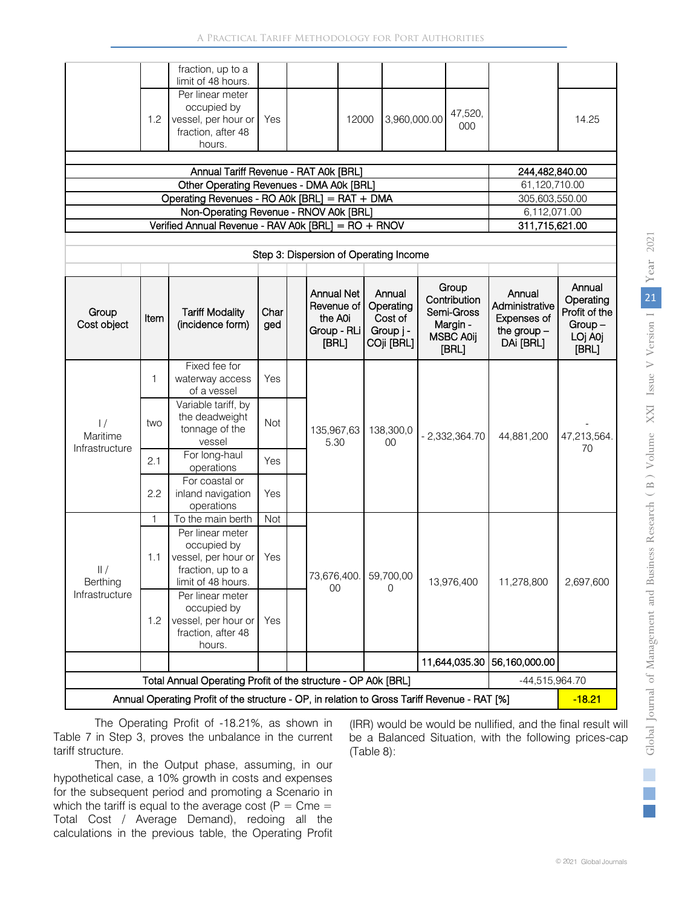|                                       |                                          | fraction, up to a                                                                                  |             |  |                                                                    |                                                           |                                                                              |                                                                       |                                                                      |
|---------------------------------------|------------------------------------------|----------------------------------------------------------------------------------------------------|-------------|--|--------------------------------------------------------------------|-----------------------------------------------------------|------------------------------------------------------------------------------|-----------------------------------------------------------------------|----------------------------------------------------------------------|
|                                       | 1.2                                      | limit of 48 hours.<br>Per linear meter<br>occupied by<br>vessel, per hour or<br>fraction, after 48 | Yes         |  | 12000                                                              | 3,960,000.00                                              | 47,520,<br>000                                                               |                                                                       | 14.25                                                                |
|                                       |                                          | hours.                                                                                             |             |  |                                                                    |                                                           |                                                                              |                                                                       |                                                                      |
|                                       |                                          |                                                                                                    |             |  |                                                                    |                                                           |                                                                              |                                                                       |                                                                      |
| Annual Tariff Revenue - RAT A0k [BRL] |                                          |                                                                                                    |             |  |                                                                    |                                                           | 244,482,840.00                                                               |                                                                       |                                                                      |
|                                       | Other Operating Revenues - DMA A0k [BRL] |                                                                                                    |             |  |                                                                    |                                                           |                                                                              | 61,120,710.00                                                         |                                                                      |
|                                       |                                          | Operating Revenues - RO A0k [BRL] = RAT + DMA                                                      |             |  |                                                                    |                                                           |                                                                              | 305,603,550.00                                                        |                                                                      |
|                                       |                                          | Non-Operating Revenue - RNOV A0k [BRL]                                                             |             |  |                                                                    |                                                           |                                                                              | 6,112,071.00                                                          |                                                                      |
|                                       |                                          | Verified Annual Revenue - RAV A0k [BRL] = RO + RNOV                                                |             |  |                                                                    |                                                           |                                                                              | 311,715,621.00                                                        |                                                                      |
|                                       |                                          |                                                                                                    |             |  | Step 3: Dispersion of Operating Income                             |                                                           |                                                                              |                                                                       |                                                                      |
|                                       |                                          |                                                                                                    |             |  |                                                                    |                                                           |                                                                              |                                                                       |                                                                      |
| Group<br>Cost object                  | Item                                     | <b>Tariff Modality</b><br>(incidence form)                                                         | Char<br>ged |  | <b>Annual Net</b><br>Revenue of<br>the A0i<br>Group - RLi<br>[BRL] | Annual<br>Operating<br>Cost of<br>Group j -<br>COji [BRL] | Group<br>Contribution<br>Semi-Gross<br>Margin -<br><b>MSBC A0ij</b><br>[BRL] | Annual<br>Administrative<br>Expenses of<br>the group $-$<br>DAi [BRL] | Annual<br>Operating<br>Profit of the<br>$Group-$<br>LOj A0j<br>[BRL] |
|                                       |                                          | Fixed fee for                                                                                      |             |  |                                                                    |                                                           |                                                                              |                                                                       |                                                                      |
|                                       | 1                                        | waterway access                                                                                    | Yes         |  | 135,967,63<br>5.30                                                 | 138,300,0<br>$00\,$                                       | $-2,332,364.70$                                                              |                                                                       | 47,213,564.<br>70                                                    |
| $\frac{1}{2}$<br>Maritime             |                                          | of a vessel<br>Variable tariff, by                                                                 |             |  |                                                                    |                                                           |                                                                              | 44,881,200                                                            |                                                                      |
|                                       | two                                      | the deadweight<br>tonnage of the                                                                   | <b>Not</b>  |  |                                                                    |                                                           |                                                                              |                                                                       |                                                                      |
| Infrastructure                        |                                          | vessel<br>For long-haul                                                                            |             |  |                                                                    |                                                           |                                                                              |                                                                       |                                                                      |
|                                       | 2.1                                      | operations                                                                                         | Yes         |  |                                                                    |                                                           |                                                                              |                                                                       |                                                                      |
|                                       | 2.2                                      | For coastal or<br>inland navigation<br>operations                                                  | Yes         |  | 73,676,400.                                                        | 59,700,00<br>0                                            | 13,976,400                                                                   | 11,278,800                                                            | 2,697,600                                                            |
|                                       | $\mathbf{1}$                             | To the main berth                                                                                  | Not         |  |                                                                    |                                                           |                                                                              |                                                                       |                                                                      |
| $  $ /<br>Berthing                    | 1.1                                      | Per linear meter<br>occupied by<br>vessel, per hour or<br>fraction, up to a<br>limit of 48 hours.  | Yes         |  |                                                                    |                                                           |                                                                              |                                                                       |                                                                      |
| Infrastructure                        | 1.2                                      | Per linear meter<br>occupied by<br>vessel, per hour or<br>fraction, after 48<br>hours.             | Yes         |  | 00                                                                 |                                                           |                                                                              |                                                                       |                                                                      |
|                                       |                                          |                                                                                                    |             |  |                                                                    |                                                           | 11,644,035.30                                                                | 56,160,000.00                                                         |                                                                      |
|                                       |                                          | Total Annual Operating Profit of the structure - OP A0k [BRL]                                      |             |  |                                                                    |                                                           |                                                                              | $-44,515,964.70$                                                      |                                                                      |
|                                       |                                          | Annual Operating Profit of the structure - OP, in relation to Gross Tariff Revenue - RAT [%]       |             |  |                                                                    |                                                           |                                                                              |                                                                       | $-18.21$                                                             |

The Operating Profit of -18.21%, as shown in Table 7 in Step 3, proves the unbalance in the current tariff structure.

Then, in the Output phase, assuming, in our hypothetical case, a 10% growth in costs and expenses for the subsequent period and promoting a Scenario in which the tariff is equal to the average cost ( $P = Cme =$ Total Cost / Average Demand), redoing all the calculations in the previous table, the Operating Profit (IRR) would be would be nullified, and the final result will be a Balanced Situation, with the following prices-cap (Table 8):

i.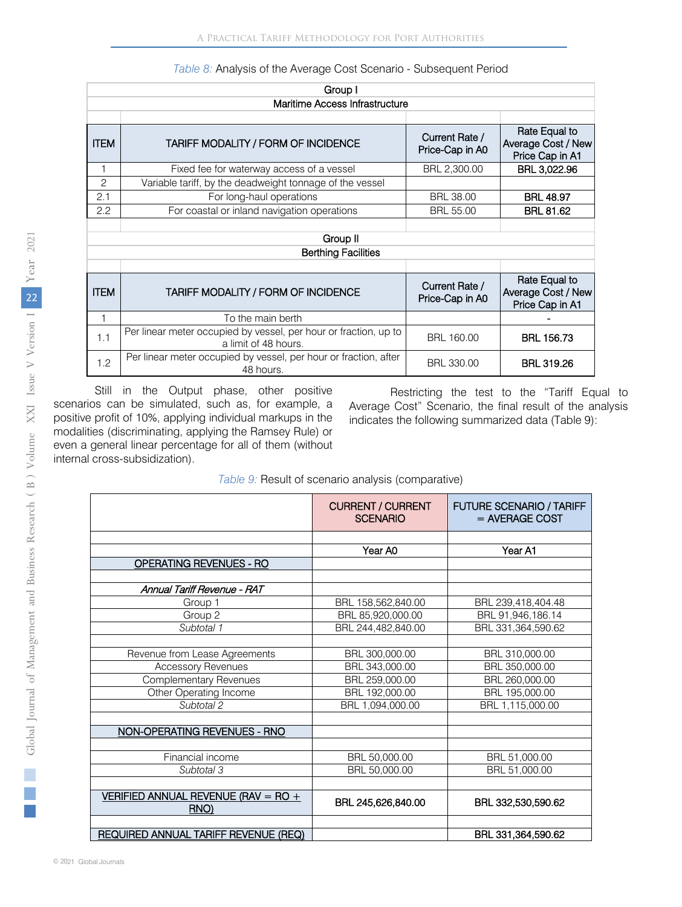| Group I                        |                                                                                          |                                   |                                                        |  |  |  |  |
|--------------------------------|------------------------------------------------------------------------------------------|-----------------------------------|--------------------------------------------------------|--|--|--|--|
| Maritime Access Infrastructure |                                                                                          |                                   |                                                        |  |  |  |  |
|                                |                                                                                          |                                   |                                                        |  |  |  |  |
| <b>ITEM</b>                    | TARIFF MODALITY / FORM OF INCIDENCE                                                      | Current Rate /<br>Price-Cap in A0 | Rate Equal to<br>Average Cost / New<br>Price Cap in A1 |  |  |  |  |
| 1                              | Fixed fee for waterway access of a vessel                                                | BRL 2,300.00                      | BRL 3,022.96                                           |  |  |  |  |
| $\overline{c}$                 | Variable tariff, by the deadweight tonnage of the vessel                                 |                                   |                                                        |  |  |  |  |
| 2.1                            | For long-haul operations                                                                 | <b>BRL 38.00</b>                  | <b>BRL 48.97</b>                                       |  |  |  |  |
| 2.2                            | For coastal or inland navigation operations                                              | <b>BRL 55.00</b>                  | <b>BRL 81.62</b>                                       |  |  |  |  |
|                                |                                                                                          |                                   |                                                        |  |  |  |  |
|                                | Group II                                                                                 |                                   |                                                        |  |  |  |  |
|                                | <b>Berthing Facilities</b>                                                               |                                   |                                                        |  |  |  |  |
|                                |                                                                                          |                                   |                                                        |  |  |  |  |
| <b>ITEM</b>                    | TARIFF MODALITY / FORM OF INCIDENCE                                                      | Current Rate /<br>Price-Cap in A0 | Rate Equal to<br>Average Cost / New<br>Price Cap in A1 |  |  |  |  |
| 1                              | To the main berth                                                                        |                                   |                                                        |  |  |  |  |
| 1.1                            | Per linear meter occupied by vessel, per hour or fraction, up to<br>a limit of 48 hours. | BRL 160.00                        | <b>BRL 156.73</b>                                      |  |  |  |  |
| 1.2                            | Per linear meter occupied by vessel, per hour or fraction, after<br>48 hours.            | <b>BRL 330.00</b>                 | <b>BRL 319.26</b>                                      |  |  |  |  |

*Table 8:* Analysis of the Average Cost Scenario - Subsequent Period

Still in the Output phase, other positive scenarios can be simulated, such as, for example, a positive profit of 10%, applying individual markups in the modalities (discriminating, applying the Ramsey Rule) or even a general linear percentage for all of them (without internal cross-subsidization).

Restricting the test to the "Tariff Equal to Average Cost" Scenario, the final result of the analysis indicates the following summarized data (Table 9):

#### *Table 9:* Result of scenario analysis (comparative)

|                                             | <b>CURRENT / CURRENT</b><br><b>SCENARIO</b> | <b>FUTURE SCENARIO / TARIFF</b><br>$=$ AVERAGE COST |
|---------------------------------------------|---------------------------------------------|-----------------------------------------------------|
|                                             |                                             |                                                     |
|                                             | Year A0                                     | Year A1                                             |
| <b>OPERATING REVENUES - RO</b>              |                                             |                                                     |
|                                             |                                             |                                                     |
| Annual Tariff Revenue - RAT                 |                                             |                                                     |
| Group 1                                     | BRL 158,562,840.00                          | BRL 239,418,404.48                                  |
| Group 2                                     | BRL 85,920,000.00                           | BRL 91,946,186.14                                   |
| Subtotal 1                                  | BRL 244,482,840.00                          | BRL 331,364,590.62                                  |
|                                             |                                             |                                                     |
| Revenue from Lease Agreements               | BRL 300,000.00                              | BRL 310,000.00                                      |
| <b>Accessory Revenues</b>                   | BRL 343,000.00                              | BRL 350,000.00                                      |
| <b>Complementary Revenues</b>               | BRL 259,000.00                              | BRL 260,000.00                                      |
| Other Operating Income                      | BRL 192,000.00                              | BRL 195,000.00                                      |
| Subtotal 2                                  | BRL 1,094,000.00                            | BRL 1,115,000.00                                    |
|                                             |                                             |                                                     |
| NON-OPERATING REVENUES - RNO                |                                             |                                                     |
|                                             |                                             |                                                     |
| Financial income                            | BRL 50,000.00                               | BRL 51,000.00                                       |
| Subtotal 3                                  | BRL 50,000.00                               | BRL 51,000.00                                       |
|                                             |                                             |                                                     |
| VERIFIED ANNUAL REVENUE (RAV = RO +<br>RNO) | BRL 245,626,840.00                          | BRL 332,530,590.62                                  |
|                                             |                                             |                                                     |
| REQUIRED ANNUAL TARIFF REVENUE (REQ)        |                                             | BRL 331,364,590.62                                  |

p.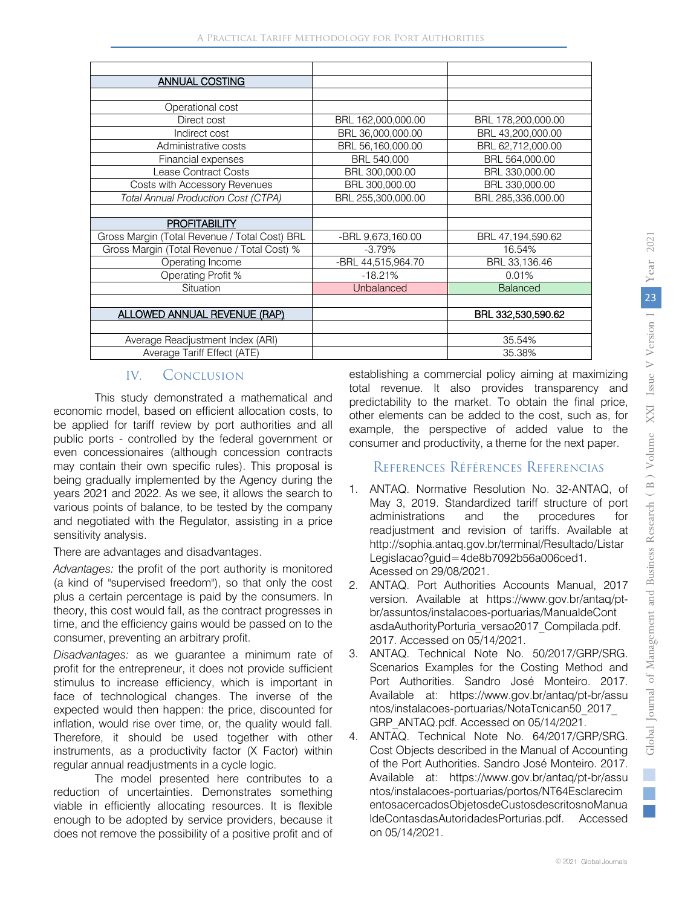| <b>ANNUAL COSTING</b>                         |                    |                     |
|-----------------------------------------------|--------------------|---------------------|
|                                               |                    |                     |
| Operational cost                              |                    |                     |
| Direct cost                                   | BRL 162,000,000.00 | BRL 178,200,000.00  |
| Indirect cost                                 | BRL 36,000,000.00  | BRL 43,200,000.00   |
| Administrative costs                          | BRL 56,160,000.00  | BRL 62,712,000.00   |
| Financial expenses                            | BRL 540,000        | BRL 564,000.00      |
| Lease Contract Costs                          | BRL 300,000,00     | BRL 330,000,00      |
| Costs with Accessory Revenues                 | BRL 300,000.00     | BRL 330,000.00      |
| <b>Total Annual Production Cost (CTPA)</b>    | BRL 255,300,000.00 | BRL 285,336,000.00  |
|                                               |                    |                     |
| <b>PROFITABILITY</b>                          |                    |                     |
| Gross Margin (Total Revenue / Total Cost) BRL | -BRL 9,673,160.00  | BRL 47, 194, 590.62 |
| Gross Margin (Total Revenue / Total Cost) %   | $-3.79%$           | 16.54%              |
| Operating Income                              | -BRL 44,515,964.70 | BRL 33,136.46       |
| Operating Profit %                            | $-18.21%$          | 0.01%               |
| Situation                                     | Unbalanced         | <b>Balanced</b>     |
|                                               |                    |                     |
| ALLOWED ANNUAL REVENUE (RAP)                  |                    | BRL 332,530,590.62  |
|                                               |                    |                     |
| Average Readjustment Index (ARI)              |                    | 35.54%              |
| Average Tariff Effect (ATE)                   |                    | 35.38%              |

# IV. Conclusion

This study demonstrated a mathematical and economic model, based on efficient allocation costs, to be applied for tariff review by port authorities and all public ports - controlled by the federal government or even concessionaires (although concession contracts may contain their own specific rules). This proposal is being gradually implemented by the Agency during the years 2021 and 2022. As we see, it allows the search to various points of balance, to be tested by the company and negotiated with the Regulator, assisting in a price sensitivity analysis.

There are advantages and disadvantages.

*Advantages:* the profit of the port authority is monitored (a kind of "supervised freedom"), so that only the cost plus a certain percentage is paid by the consumers. In theory, this cost would fall, as the contract progresses in time, and the efficiency gains would be passed on to the consumer, preventing an arbitrary profit.

*Disadvantages:* as we guarantee a minimum rate of profit for the entrepreneur, it does not provide sufficient stimulus to increase efficiency, which is important in face of technological changes. The inverse of the expected would then happen: the price, discounted for inflation, would rise over time, or, the quality would fall. Therefore, it should be used together with other instruments, as a productivity factor (X Factor) within regular annual readjustments in a cycle logic.

The model presented here contributes to a reduction of uncertainties. Demonstrates something viable in efficiently allocating resources. It is flexible enough to be adopted by service providers, because it does not remove the possibility of a positive profit and of

establishing a commercial policy aiming at maximizing total revenue. It also provides transparency and predictability to the market. To obtain the final price, other elements can be added to the cost, such as, for example, the perspective of added value to the consumer and productivity, a theme for the next paper.

# References Références Referencias

- 1. ANTAQ. Normative Resolution No. 32-ANTAQ, of May 3, 2019. Standardized tariff structure of port administrations and the procedures for readjustment and revision of tariffs. Available at http://sophia.antaq.gov.br/terminal/Resultado/Listar Legislacao?guid=4de8b7092b56a006ced1. Acessed on 29/08/2021.
- 2. ANTAQ. Port Authorities Accounts Manual, 2017 version. Available at https://www.gov.br/antaq/ptbr/assuntos/instalacoes-portuarias/ManualdeCont asdaAuthorityPorturia\_versao2017\_Compilada.pdf. 2017. Accessed on 05/14/2021.
- 3. ANTAQ. Technical Note No. 50/2017/GRP/SRG. Scenarios Examples for the Costing Method and Port Authorities. Sandro José Monteiro. 2017. Available at: https://www.gov.br/antaq/pt-br/assu ntos/instalacoes-portuarias/NotaTcnican50\_2017\_ GRP\_ANTAQ.pdf. Accessed on 05/14/2021.
- 4. ANTAQ. Technical Note No. 64/2017/GRP/SRG. Cost Objects described in the Manual of Accounting of the Port Authorities. Sandro José Monteiro. 2017. Available at: https://www.gov.br/antaq/pt-br/assu ntos/instalacoes-portuarias/portos/NT64Esclarecim entosacercadosObjetosdeCustosdescritosnoManua ldeContasdasAutoridadesPorturias.pdf. Accessed on 05/14/2021.